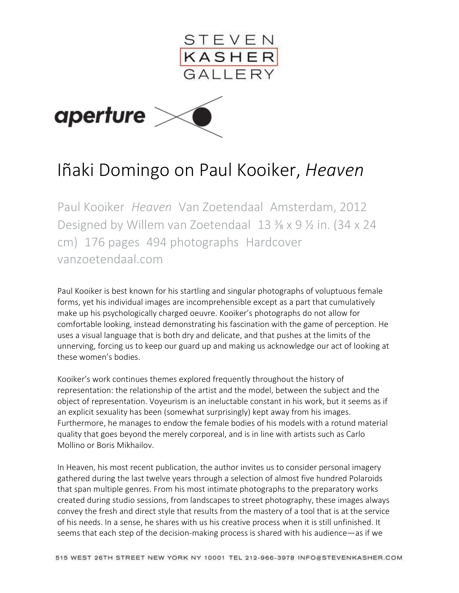

## Iñaki Domingo on Paul Kooiker, *Heaven*

Paul Kooiker *Heaven* Van Zoetendaal Amsterdam, 2012 Designed by Willem van Zoetendaal 13 ⅜ x 9 ½ in. (34 x 24 cm) 176 pages 494 photographs Hardcover [vanzoetendaal.com](http://www.vanzoetendaal.com/)

Paul Kooiker is best known for his startling and singular photographs of voluptuous female forms, yet his individual images are incomprehensible except as a part that cumulatively make up his psychologically charged oeuvre. Kooiker's photographs do not allow for comfortable looking, instead demonstrating his fascination with the game of perception. He uses a visual language that is both dry and delicate, and that pushes at the limits of the unnerving, forcing us to keep our guard up and making us acknowledge our act of looking at these women's bodies.

Kooiker's work continues themes explored frequently throughout the history of representation: the relationship of the artist and the model, between the subject and the object of representation. Voyeurism is an ineluctable constant in his work, but it seems as if an explicit sexuality has been (somewhat surprisingly) kept away from his images. Furthermore, he manages to endow the female bodies of his models with a rotund material quality that goes beyond the merely corporeal, and is in line with artists such as Carlo Mollino or Boris Mikhailov.

In Heaven, his most recent publication, the author invites us to consider personal imagery gathered during the last twelve years through a selection of almost five hundred Polaroids that span multiple genres. From his most intimate photographs to the preparatory works created during studio sessions, from landscapes to street photography, these images always convey the fresh and direct style that results from the mastery of a tool that is at the service of his needs. In a sense, he shares with us his creative process when it is still unfinished. It seems that each step of the decision-making process is shared with his audience—as if we